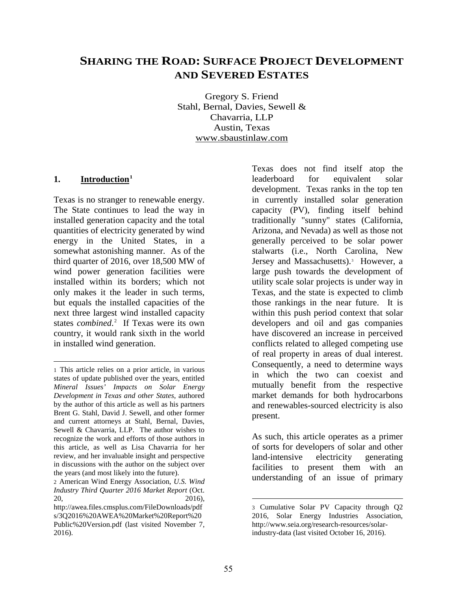# **SHARING THE ROAD: SURFACE PROJECT DEVELOPMENT AND SEVERED ESTATES**

Gregory S. Friend Stahl, Bernal, Davies, Sewell & Chavarria, LLP Austin, Texas www.sbaustinlaw.com

#### **1. Introduction[1](#page-0-0)**

 $\overline{a}$ 

Texas is no stranger to renewable energy. The State continues to lead the way in installed generation capacity and the total quantities of electricity generated by wind energy in the United States, in a somewhat astonishing manner. As of the third quarter of 2016, over 18,500 MW of wind power generation facilities were installed within its borders; which not only makes it the leader in such terms, but equals the installed capacities of the next three largest wind installed capacity states *combined*. [2](#page-0-1) If Texas were its own country, it would rank sixth in the world in installed wind generation.

Texas does not find itself atop the leaderboard for equivalent solar development. Texas ranks in the top ten in currently installed solar generation capacity (PV), finding itself behind traditionally "sunny" states (California, Arizona, and Nevada) as well as those not generally perceived to be solar power stalwarts (i.e., North Carolina, New Jersey and Massachusetts). [3](#page-0-2) However, a large push towards the development of utility scale solar projects is under way in Texas, and the state is expected to climb those rankings in the near future. It is within this push period context that solar developers and oil and gas companies have discovered an increase in perceived conflicts related to alleged competing use of real property in areas of dual interest. Consequently, a need to determine ways in which the two can coexist and mutually benefit from the respective market demands for both hydrocarbons and renewables-sourced electricity is also present.

As such, this article operates as a primer of sorts for developers of solar and other<br>land-intensive electricity generating land-intensive electricity facilities to present them with an understanding of an issue of primary

<span id="page-0-0"></span><sup>1</sup> This article relies on a prior article, in various states of update published over the years, entitled *Mineral Issues' Impacts on Solar Energy Development in Texas and other States*, authored by the author of this article as well as his partners Brent G. Stahl, David J. Sewell, and other former and current attorneys at Stahl, Bernal, Davies, Sewell & Chavarria, LLP. The author wishes to recognize the work and efforts of those authors in this article, as well as Lisa Chavarria for her review, and her invaluable insight and perspective in discussions with the author on the subject over the years (and most likely into the future).

<span id="page-0-3"></span><span id="page-0-1"></span><sup>2</sup> American Wind Energy Association, *U.S. Wind Industry Third Quarter 2016 Market Report* (Oct. 20, 2016),

<span id="page-0-2"></span>http://awea.files.cmsplus.com/FileDownloads/pdf s/3Q2016%20AWEA%20Market%20Report%20 Public%20Version.pdf (last visited November 7, 2016).

<sup>3</sup> Cumulative Solar PV Capacity through Q2 2016, Solar Energy Industries Association, http://www.seia.org/research-resources/solarindustry-data (last visited October 16, 2016).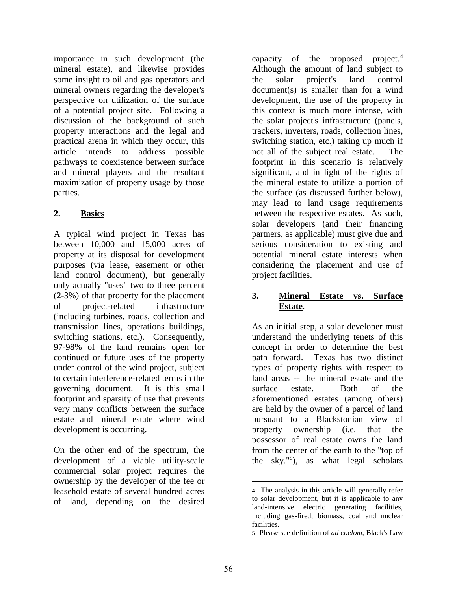importance in such development (the mineral estate), and likewise provides some insight to oil and gas operators and mineral owners regarding the developer's perspective on utilization of the surface of a potential project site. Following a discussion of the background of such property interactions and the legal and practical arena in which they occur, this article intends to address possible pathways to coexistence between surface and mineral players and the resultant maximization of property usage by those parties.

## **2. Basics**

A typical wind project in Texas has between 10,000 and 15,000 acres of property at its disposal for development purposes (via lease, easement or other land control document), but generally only actually "uses" two to three percent (2-3%) of that property for the placement of project-related infrastructure (including turbines, roads, collection and transmission lines, operations buildings, switching stations, etc.). Consequently, 97-98% of the land remains open for continued or future uses of the property under control of the wind project, subject to certain interference-related terms in the governing document. It is this small footprint and sparsity of use that prevents very many conflicts between the surface estate and mineral estate where wind development is occurring.

<span id="page-1-1"></span><span id="page-1-0"></span>On the other end of the spectrum, the development of a viable utility-scale commercial solar project requires the ownership by the developer of the fee or leasehold estate of several hundred acres of land, depending on the desired

capacity of the proposed project. [4](#page-0-3) Although the amount of land subject to the solar project's land control document(s) is smaller than for a wind development, the use of the property in this context is much more intense, with the solar project's infrastructure (panels, trackers, inverters, roads, collection lines, switching station, etc.) taking up much if not all of the subject real estate. The footprint in this scenario is relatively significant, and in light of the rights of the mineral estate to utilize a portion of the surface (as discussed further below), may lead to land usage requirements between the respective estates. As such, solar developers (and their financing partners, as applicable) must give due and serious consideration to existing and potential mineral estate interests when considering the placement and use of project facilities.

#### **3. Mineral Estate vs. Surface Estate**.

As an initial step, a solar developer must understand the underlying tenets of this concept in order to determine the best path forward. Texas has two distinct types of property rights with respect to land areas -- the mineral estate and the surface estate. Both of the aforementioned estates (among others) are held by the owner of a parcel of land pursuant to a Blackstonian view of property ownership (i.e. that the possessor of real estate owns the land from the center of the earth to the "top of the sky."[5](#page-1-0) ), as what legal scholars

 $\overline{a}$ 4 The analysis in this article will generally refer to solar development, but it is applicable to any land-intensive electric generating facilities, including gas-fired, biomass, coal and nuclear facilities.

<sup>5</sup> Please see definition of *ad coelom*, Black's Law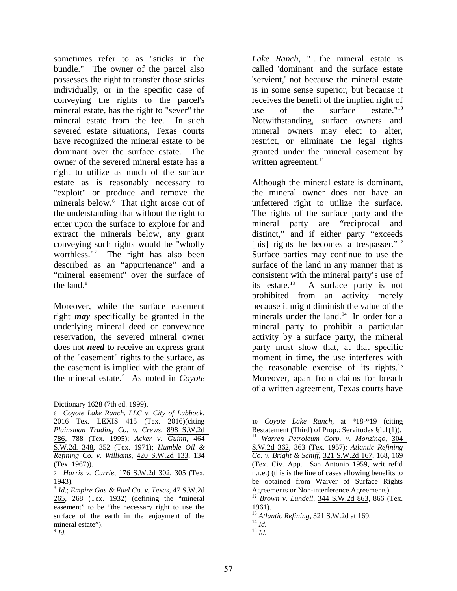sometimes refer to as "sticks in the bundle." The owner of the parcel also possesses the right to transfer those sticks individually, or in the specific case of conveying the rights to the parcel's mineral estate, has the right to "sever" the mineral estate from the fee. In such severed estate situations, Texas courts have recognized the mineral estate to be dominant over the surface estate. The owner of the severed mineral estate has a right to utilize as much of the surface estate as is reasonably necessary to "exploit" or produce and remove the minerals below.<sup>[6](#page-1-1)</sup> That right arose out of the understanding that without the right to enter upon the surface to explore for and extract the minerals below, any grant conveying such rights would be "wholly worthless."[7](#page-2-0) The right has also been described as an "appurtenance" and a "mineral easement" over the surface of the land. $8$ 

Moreover, while the surface easement right *may* specifically be granted in the underlying mineral deed or conveyance reservation, the severed mineral owner does not *need* to receive an express grant of the "easement" rights to the surface, as the easement is implied with the grant of the mineral estate.[9](#page-2-2) As noted in *Coyote*  *Lake Ranch*, "…the mineral estate is called 'dominant' and the surface estate 'servient,' not because the mineral estate is in some sense superior, but because it receives the benefit of the implied right of use of the surface estate."[10](#page-2-3) Notwithstanding, surface owners and mineral owners may elect to alter, restrict, or eliminate the legal rights granted under the mineral easement by written agreement. $^{11}$ 

Although the mineral estate is dominant, the mineral owner does not have an unfettered right to utilize the surface. The rights of the surface party and the mineral party are "reciprocal and distinct," and if either party "exceeds [his] rights he becomes a trespasser."<sup>[12](#page-2-5)</sup> Surface parties may continue to use the surface of the land in any manner that is consistent with the mineral party's use of its estate. $^{13}$  $^{13}$  $^{13}$  A surface party is not prohibited from an activity merely because it might diminish the value of the minerals under the land.<sup>[14](#page-2-7)</sup> In order for a mineral party to prohibit a particular activity by a surface party, the mineral party must show that, at that specific moment in time, the use interferes with the reasonable exercise of its rights.[15](#page-2-2) Moreover, apart from claims for breach of a written agreement, Texas courts have

 $\overline{a}$ Dictionary 1628 (7th ed. 1999).

<span id="page-2-4"></span><span id="page-2-3"></span><sup>6</sup> *Coyote Lake Ranch, LLC v. City of Lubbock*, 2016 Tex. LEXIS 415 (Tex. 2016)(citing *Plainsman Trading Co. v. Crews*, [898 S.W.2d](https://links.casemakerlegal.com/states/TX/books/Case_Law/results?search[Cite]=898%20S.W.2d%20786&ispincite=yes&ci=13&fn=Volume+41%2c+Number+1+Fall+2016+OGERL+Section+Report.pdf)  [786](https://links.casemakerlegal.com/states/TX/books/Case_Law/results?search[Cite]=898%20S.W.2d%20786&ispincite=yes&ci=13&fn=Volume+41%2c+Number+1+Fall+2016+OGERL+Section+Report.pdf), 788 (Tex. 1995); *Acker v. Guinn*, [464](https://links.casemakerlegal.com/states/TX/books/Case_Law/results?&search[Cite]=464+S.W.2d+348&search[Date%20Decided_from]=1971%2f02%2f10&search[Date%20Decided_to]=1971%2f02%2f10&ci=13&fn=Volume+41%2c+Number+1+Fall+2016+OGERL+Section+Report.pdf)  [S.W.2d. 348,](https://links.casemakerlegal.com/states/TX/books/Case_Law/results?&search[Cite]=464+S.W.2d+348&search[Date%20Decided_from]=1971%2f02%2f10&search[Date%20Decided_to]=1971%2f02%2f10&ci=13&fn=Volume+41%2c+Number+1+Fall+2016+OGERL+Section+Report.pdf) 352 (Tex. 1971); *Humble Oil & Refining Co. v. Williams*, [420 S.W.2d 133](https://links.casemakerlegal.com/states/TX/books/Case_Law/results?search[Cite]=420%20S.W.2d%20133&ispincite=yes&ci=13&fn=Volume+41%2c+Number+1+Fall+2016+OGERL+Section+Report.pdf), 134 (Tex. 1967)).

<span id="page-2-0"></span><sup>7</sup> *Harris v. Currie*, [176 S.W.2d 302,](https://links.casemakerlegal.com/states/TX/books/Case_Law/results?search[Cite]=176%20S.W.2d%20302&ispincite=yes&ci=13&fn=Volume+41%2c+Number+1+Fall+2016+OGERL+Section+Report.pdf) 305 (Tex. 1943).

<span id="page-2-7"></span><span id="page-2-6"></span><span id="page-2-5"></span><span id="page-2-2"></span><span id="page-2-1"></span><sup>8</sup> *Id*.; *Empire Gas & Fuel Co. v. Texas*, [47 S.W.2d](https://links.casemakerlegal.com/states/TX/books/Case_Law/results?search[Cite]=47%20S.W.2d%20265&ispincite=yes&ci=13&fn=Volume+41%2c+Number+1+Fall+2016+OGERL+Section+Report.pdf)  [265](https://links.casemakerlegal.com/states/TX/books/Case_Law/results?search[Cite]=47%20S.W.2d%20265&ispincite=yes&ci=13&fn=Volume+41%2c+Number+1+Fall+2016+OGERL+Section+Report.pdf), 268 (Tex. 1932) (defining the "mineral easement" to be "the necessary right to use the surface of the earth in the enjoyment of the mineral estate").  $^9$  *Id.* 

 $\overline{a}$ 10 *Coyote Lake Ranch*, at \*18-\*19 (citing Restatement (Third) of Prop.: Servitudes §1.1(1)). <sup>11</sup> *Warren Petroleum Corp. v. Monzingo*, [304](https://links.casemakerlegal.com/states/TX/books/Case_Law/results?search[Cite]=304%20S.W.2d%20362&ispincite=yes&ci=13&fn=Volume+41%2c+Number+1+Fall+2016+OGERL+Section+Report.pdf)  [S.W.2d 362](https://links.casemakerlegal.com/states/TX/books/Case_Law/results?search[Cite]=304%20S.W.2d%20362&ispincite=yes&ci=13&fn=Volume+41%2c+Number+1+Fall+2016+OGERL+Section+Report.pdf), 363 (Tex. 1957); *Atlantic Refining Co. v. Bright & Schiff*, [321 S.W.2d 167,](https://links.casemakerlegal.com/states/TX/books/Case_Law/results?search[Cite]=321%20S.W.2d%20167&ispincite=yes&ci=13&fn=Volume+41%2c+Number+1+Fall+2016+OGERL+Section+Report.pdf) 168, 169 (Tex. Civ. App.—San Antonio 1959, writ ref'd n.r.e.) (this is the line of cases allowing benefits to be obtained from Waiver of Surface Rights Agreements or Non-interference Agreements). <sup>12</sup> *Brown v. Lundell,* [344 S.W.2d 863,](https://links.casemakerlegal.com/states/TX/books/Case_Law/results?search[Cite]=344%20S.W.2d%20863&ispincite=yes&ci=13&fn=Volume+41%2c+Number+1+Fall+2016+OGERL+Section+Report.pdf) 866 (Tex.

<sup>1961).</sup>

<sup>13</sup> *Atlantic Refining,* [321 S.W.2d at 169.](https://links.casemakerlegal.com/states/TX/books/Case_Law/results?search[Cite]=321%20S.W.2d%20167&ci=13&fn=Volume+41%2c+Number+1+Fall+2016+OGERL+Section+Report.pdf) <sup>14</sup> *Id.* <sup>15</sup> *Id.*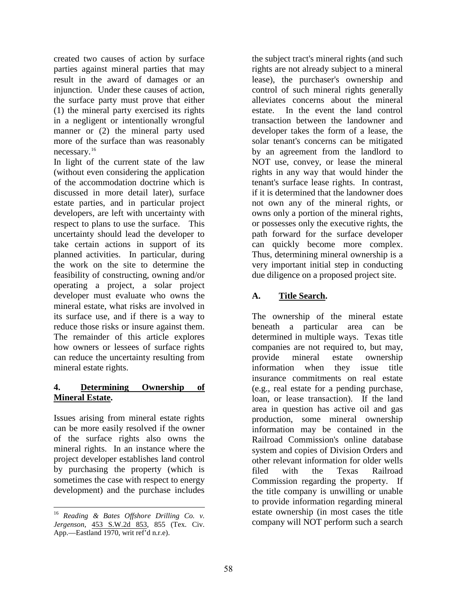created two causes of action by surface parties against mineral parties that may result in the award of damages or an injunction. Under these causes of action, the surface party must prove that either (1) the mineral party exercised its rights in a negligent or intentionally wrongful manner or (2) the mineral party used more of the surface than was reasonably necessary.[16](#page-2-6) 

In light of the current state of the law (without even considering the application of the accommodation doctrine which is discussed in more detail later), surface estate parties, and in particular project developers, are left with uncertainty with respect to plans to use the surface. This uncertainty should lead the developer to take certain actions in support of its planned activities. In particular, during the work on the site to determine the feasibility of constructing, owning and/or operating a project, a solar project developer must evaluate who owns the mineral estate, what risks are involved in its surface use, and if there is a way to reduce those risks or insure against them. The remainder of this article explores how owners or lessees of surface rights can reduce the uncertainty resulting from mineral estate rights.

### **4. Determining Ownership of Mineral Estate.**

Issues arising from mineral estate rights can be more easily resolved if the owner of the surface rights also owns the mineral rights. In an instance where the project developer establishes land control by purchasing the property (which is sometimes the case with respect to energy development) and the purchase includes the subject tract's mineral rights (and such rights are not already subject to a mineral lease), the purchaser's ownership and control of such mineral rights generally alleviates concerns about the mineral estate. In the event the land control transaction between the landowner and developer takes the form of a lease, the solar tenant's concerns can be mitigated by an agreement from the landlord to NOT use, convey, or lease the mineral rights in any way that would hinder the tenant's surface lease rights. In contrast, if it is determined that the landowner does not own any of the mineral rights, or owns only a portion of the mineral rights, or possesses only the executive rights, the path forward for the surface developer can quickly become more complex. Thus, determining mineral ownership is a very important initial step in conducting due diligence on a proposed project site.

### **A. Title Search.**

The ownership of the mineral estate beneath a particular area can be determined in multiple ways. Texas title companies are not required to, but may, provide mineral estate ownership information when they issue title insurance commitments on real estate (e.g., real estate for a pending purchase, loan, or lease transaction). If the land area in question has active oil and gas production, some mineral ownership information may be contained in the Railroad Commission's online database system and copies of Division Orders and other relevant information for older wells filed with the Texas Railroad Commission regarding the property. If the title company is unwilling or unable to provide information regarding mineral estate ownership (in most cases the title company will NOT perform such a search

<span id="page-3-0"></span> $\overline{a}$ <sup>16</sup> *Reading & Bates Offshore Drilling Co. v. Jergenson*, [453 S.W.2d 853](https://links.casemakerlegal.com/states/TX/books/Case_Law/results?search[Cite]=453%20S.W.2d%20853&ispincite=yes&ci=13&fn=Volume+41%2c+Number+1+Fall+2016+OGERL+Section+Report.pdf), 855 (Tex. Civ. App.—Eastland 1970, writ ref'd n.r.e).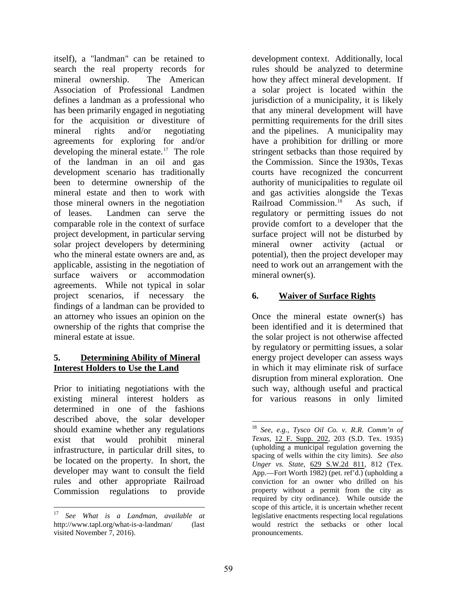itself), a "landman" can be retained to search the real property records for mineral ownership. The American Association of Professional Landmen defines a landman as a professional who has been primarily engaged in negotiating for the acquisition or divestiture of mineral rights and/or negotiating agreements for exploring for and/or developing the mineral estate.<sup>[17](#page-3-0)</sup> The role of the landman in an oil and gas development scenario has traditionally been to determine ownership of the mineral estate and then to work with those mineral owners in the negotiation of leases. Landmen can serve the comparable role in the context of surface project development, in particular serving solar project developers by determining who the mineral estate owners are and, as applicable, assisting in the negotiation of surface waivers or accommodation agreements. While not typical in solar project scenarios, if necessary the findings of a landman can be provided to an attorney who issues an opinion on the ownership of the rights that comprise the mineral estate at issue.

#### **5. Determining Ability of Mineral Interest Holders to Use the Land**

<span id="page-4-0"></span>Prior to initiating negotiations with the existing mineral interest holders as determined in one of the fashions described above, the solar developer should examine whether any regulations exist that would prohibit mineral infrastructure, in particular drill sites, to be located on the property. In short, the developer may want to consult the field rules and other appropriate Railroad Commission regulations to provide development context. Additionally, local rules should be analyzed to determine how they affect mineral development. If a solar project is located within the jurisdiction of a municipality, it is likely that any mineral development will have permitting requirements for the drill sites and the pipelines. A municipality may have a prohibition for drilling or more stringent setbacks than those required by the Commission. Since the 1930s, Texas courts have recognized the concurrent authority of municipalities to regulate oil and gas activities alongside the Texas Railroad Commission.<sup>18</sup> As such, if regulatory or permitting issues do not provide comfort to a developer that the surface project will not be disturbed by mineral owner activity (actual or potential), then the project developer may need to work out an arrangement with the mineral owner(s).

#### **6. Waiver of Surface Rights**

Once the mineral estate owner(s) has been identified and it is determined that the solar project is not otherwise affected by regulatory or permitting issues, a solar energy project developer can assess ways in which it may eliminate risk of surface disruption from mineral exploration. One such way, although useful and practical for various reasons in only limited

<span id="page-4-1"></span> $\overline{a}$ <sup>17</sup> *See What is a Landman, available at*  http://www.tapl.org/what-is-a-landman/ (last visited November 7, 2016).

 $\overline{a}$ <sup>18</sup> *See, e.g., Tysco Oil Co. v. R.R. Comm'n of Texas,* [12 F. Supp. 202,](https://links.casemakerlegal.com/federal/US/books/District_Court_Opinions/results?search[Cite]=12%20F.Supp.%20202&ci=13&fn=Volume+41%2c+Number+1+Fall+2016+OGERL+Section+Report.pdf) 203 (S.D. Tex. 1935) (upholding a municipal regulation governing the spacing of wells within the city limits). *See also Unger vs. State*, [629 S.W.2d 811,](https://links.casemakerlegal.com/states/TX/books/Case_Law/results?search[Cite]=629%20S.W.2d%20811&ispincite=yes&ci=13&fn=Volume+41%2c+Number+1+Fall+2016+OGERL+Section+Report.pdf) 812 (Tex. App.—Fort Worth 1982) (pet. ref'd.) (upholding a conviction for an owner who drilled on his property without a permit from the city as required by city ordinance). While outside the scope of this article, it is uncertain whether recent legislative enactments respecting local regulations would restrict the setbacks or other local pronouncements.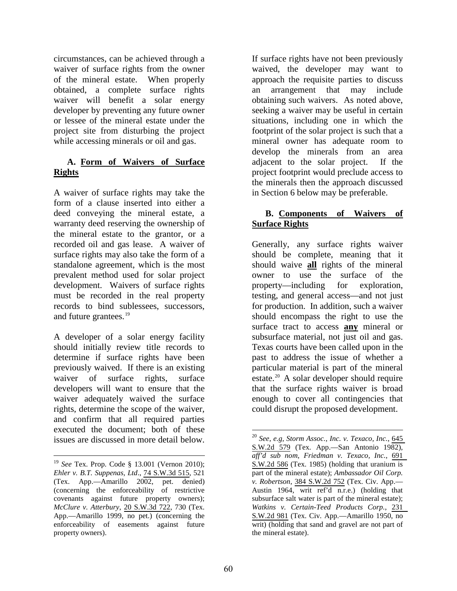circumstances, can be achieved through a waiver of surface rights from the owner of the mineral estate. When properly obtained, a complete surface rights waiver will benefit a solar energy developer by preventing any future owner or lessee of the mineral estate under the project site from disturbing the project while accessing minerals or oil and gas.

#### **A. Form of Waivers of Surface Rights**

A waiver of surface rights may take the form of a clause inserted into either a deed conveying the mineral estate, a warranty deed reserving the ownership of the mineral estate to the grantor, or a recorded oil and gas lease. A waiver of surface rights may also take the form of a standalone agreement, which is the most prevalent method used for solar project development. Waivers of surface rights must be recorded in the real property records to bind sublessees, successors, and future grantees.<sup>[19](#page-4-1)</sup>

A developer of a solar energy facility should initially review title records to determine if surface rights have been previously waived. If there is an existing waiver of surface rights, surface developers will want to ensure that the waiver adequately waived the surface rights, determine the scope of the waiver, and confirm that all required parties executed the document; both of these issues are discussed in more detail below. If surface rights have not been previously waived, the developer may want to approach the requisite parties to discuss an arrangement that may include obtaining such waivers. As noted above, seeking a waiver may be useful in certain situations, including one in which the footprint of the solar project is such that a mineral owner has adequate room to develop the minerals from an area adjacent to the solar project. If the project footprint would preclude access to the minerals then the approach discussed in Section 6 below may be preferable.

### **B. Components of Waivers of Surface Rights**

Generally, any surface rights waiver should be complete, meaning that it should waive **all** rights of the mineral owner to use the surface of the property—including for exploration, testing, and general access—and not just for production. In addition, such a waiver should encompass the right to use the surface tract to access **any** mineral or subsurface material, not just oil and gas. Texas courts have been called upon in the past to address the issue of whether a particular material is part of the mineral estate.[20](#page-5-0) A solar developer should require that the surface rights waiver is broad enough to cover all contingencies that could disrupt the proposed development.

<span id="page-5-1"></span><span id="page-5-0"></span> $\overline{a}$ <sup>19</sup> *See* Tex. Prop. Code § 13.001 (Vernon 2010); *Ehler v. B.T. Suppenas, Ltd*., [74 S.W.3d 515,](https://links.casemakerlegal.com/states/TX/books/Case_Law/results?search[Cite]=74%20S.W.3d%20515&ci=13&fn=Volume+41%2c+Number+1+Fall+2016+OGERL+Section+Report.pdf) 521 (Tex. App.—Amarillo 2002, pet. denied) (concerning the enforceability of restrictive covenants against future property owners); *McClure v. Atterbury*, [20 S.W.3d 722](https://links.casemakerlegal.com/states/TX/books/Case_Law/results?search[Cite]=20%20S.W.3d%20722&ispincite=yes&ci=13&fn=Volume+41%2c+Number+1+Fall+2016+OGERL+Section+Report.pdf), 730 (Tex. App.—Amarillo 1999, no pet.) (concerning the enforceability of easements against future property owners).

 $\overline{a}$ <sup>20</sup> *See, e.g, Storm Assoc., Inc. v. Texaco, Inc.*, [645](https://links.casemakerlegal.com/states/TX/books/Case_Law/results?search[Cite]=645%20S.W.2d%20579&ispincite=yes&ci=13&fn=Volume+41%2c+Number+1+Fall+2016+OGERL+Section+Report.pdf)  [S.W.2d 579](https://links.casemakerlegal.com/states/TX/books/Case_Law/results?search[Cite]=645%20S.W.2d%20579&ispincite=yes&ci=13&fn=Volume+41%2c+Number+1+Fall+2016+OGERL+Section+Report.pdf) (Tex. App.—San Antonio 1982), *aff'd sub nom*, *Friedman v. Texaco, Inc.*, [691](https://links.casemakerlegal.com/states/TX/books/Case_Law/results?search[Cite]=691%20S.W.2d%20586&ispincite=yes&ci=13&fn=Volume+41%2c+Number+1+Fall+2016+OGERL+Section+Report.pdf)  [S.W.2d 586](https://links.casemakerlegal.com/states/TX/books/Case_Law/results?search[Cite]=691%20S.W.2d%20586&ispincite=yes&ci=13&fn=Volume+41%2c+Number+1+Fall+2016+OGERL+Section+Report.pdf) (Tex. 1985) (holding that uranium is part of the mineral estate); *Ambassador Oil Corp. v. Robertson*, [384 S.W.2d 752](https://links.casemakerlegal.com/states/TX/books/Case_Law/results?search[Cite]=384%20S.W.2d%20752&ispincite=yes&ci=13&fn=Volume+41%2c+Number+1+Fall+2016+OGERL+Section+Report.pdf) (Tex. Civ. App.— Austin 1964, writ ref'd n.r.e.) (holding that subsurface salt water is part of the mineral estate); *Watkins v. Certain-Teed Products Corp.*, [231](https://links.casemakerlegal.com/states/TX/books/Case_Law/results?search[Cite]=231%20S.W.2d%20981&ispincite=yes&ci=13&fn=Volume+41%2c+Number+1+Fall+2016+OGERL+Section+Report.pdf)  [S.W.2d 981](https://links.casemakerlegal.com/states/TX/books/Case_Law/results?search[Cite]=231%20S.W.2d%20981&ispincite=yes&ci=13&fn=Volume+41%2c+Number+1+Fall+2016+OGERL+Section+Report.pdf) (Tex. Civ. App.—Amarillo 1950, no writ) (holding that sand and gravel are not part of the mineral estate).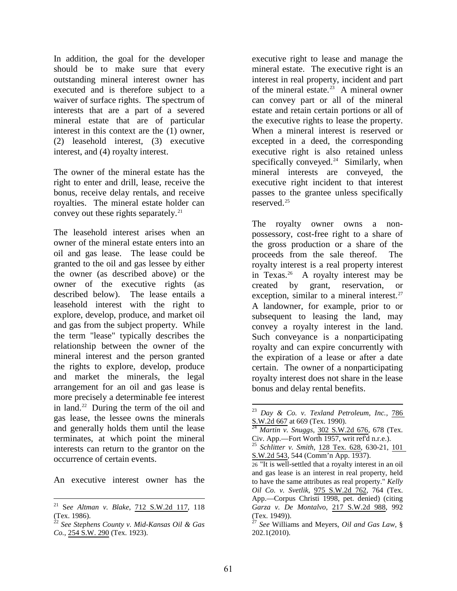In addition, the goal for the developer should be to make sure that every outstanding mineral interest owner has executed and is therefore subject to a waiver of surface rights. The spectrum of interests that are a part of a severed mineral estate that are of particular interest in this context are the (1) owner, (2) leasehold interest, (3) executive interest, and (4) royalty interest.

The owner of the mineral estate has the right to enter and drill, lease, receive the bonus, receive delay rentals, and receive royalties. The mineral estate holder can convey out these rights separately.<sup>[21](#page-5-1)</sup>

The leasehold interest arises when an owner of the mineral estate enters into an oil and gas lease. The lease could be granted to the oil and gas lessee by either the owner (as described above) or the owner of the executive rights (as described below). The lease entails a leasehold interest with the right to explore, develop, produce, and market oil and gas from the subject property. While the term "lease" typically describes the relationship between the owner of the mineral interest and the person granted the rights to explore, develop, produce and market the minerals, the legal arrangement for an oil and gas lease is more precisely a determinable fee interest in land.<sup>[22](#page-6-0)</sup> During the term of the oil and gas lease, the lessee owns the minerals and generally holds them until the lease terminates, at which point the mineral interests can return to the grantor on the occurrence of certain events.

<span id="page-6-4"></span><span id="page-6-3"></span><span id="page-6-2"></span><span id="page-6-1"></span>An executive interest owner has the

executive right to lease and manage the mineral estate. The executive right is an interest in real property, incident and part of the mineral estate. [23](#page-6-1) A mineral owner can convey part or all of the mineral estate and retain certain portions or all of the executive rights to lease the property. When a mineral interest is reserved or excepted in a deed, the corresponding executive right is also retained unless specifically conveyed.<sup>[24](#page-6-2)</sup> Similarly, when mineral interests are conveyed, the executive right incident to that interest passes to the grantee unless specifically reserved.[25](#page-6-3)

The royalty owner owns a nonpossessory, cost-free right to a share of the gross production or a share of the proceeds from the sale thereof. The royalty interest is a real property interest in Texas.<sup>[26](#page-6-4)</sup> A royalty interest may be created by grant, reservation, or exception, similar to a mineral interest.<sup>[27](#page-6-0)</sup> A landowner, for example, prior to or subsequent to leasing the land, may convey a royalty interest in the land. Such conveyance is a nonparticipating royalty and can expire concurrently with the expiration of a lease or after a date certain. The owner of a nonparticipating royalty interest does not share in the lease bonus and delay rental benefits.

<span id="page-6-5"></span> $\overline{a}$ 21 S*ee Altman v. Blake*, [712 S.W.2d 117,](https://links.casemakerlegal.com/states/TX/books/Case_Law/results?search[Cite]=712%20S.W.2d%20117&ispincite=yes&ci=13&fn=Volume+41%2c+Number+1+Fall+2016+OGERL+Section+Report.pdf) 118 (Tex. 1986).

<span id="page-6-0"></span><sup>22</sup> *See Stephens County v. Mid-Kansas Oil & Gas Co.*, [254 S.W. 290](https://links.casemakerlegal.com/states/TX/books/Case_Law/results?search[Cite]=254%20S.W.%20290&ispincite=yes&ci=13&fn=Volume+41%2c+Number+1+Fall+2016+OGERL+Section+Report.pdf) (Tex. 1923).

<sup>23</sup> *Day & Co. v. Texland Petroleum, Inc.,* [786](https://links.casemakerlegal.com/states/TX/books/Case_Law/results?search[Cite]=786%20S.W.2d%20667&ispincite=yes&ci=13&fn=Volume+41%2c+Number+1+Fall+2016+OGERL+Section+Report.pdf)  [S.W.2d 667](https://links.casemakerlegal.com/states/TX/books/Case_Law/results?search[Cite]=786%20S.W.2d%20667&ispincite=yes&ci=13&fn=Volume+41%2c+Number+1+Fall+2016+OGERL+Section+Report.pdf) at 669 (Tex. 1990).

<sup>24</sup> *Martin v. Snuggs,* [302 S.W.2d 676](https://links.casemakerlegal.com/states/TX/books/Case_Law/results?search[Cite]=302%20S.W.2d%20676&ispincite=yes&ci=13&fn=Volume+41%2c+Number+1+Fall+2016+OGERL+Section+Report.pdf), 678 (Tex. Civ. App.—Fort Worth 1957, writ ref'd n.r.e.). <sup>25</sup> *Schlitter v. Smith,* [128 Tex. 628](https://links.casemakerlegal.com/states/TX/books/Case_Law/results?search[Cite]=128%20Tex.%20628&ispincite=yes&ci=13&fn=Volume+41%2c+Number+1+Fall+2016+OGERL+Section+Report.pdf), 630-21, [101](https://links.casemakerlegal.com/states/TX/books/Case_Law/results?search[Cite]=101%20S.W.2d%20543&ispincite=yes&ci=13&fn=Volume+41%2c+Number+1+Fall+2016+OGERL+Section+Report.pdf) 

[S.W.2d 543](https://links.casemakerlegal.com/states/TX/books/Case_Law/results?search[Cite]=101%20S.W.2d%20543&ispincite=yes&ci=13&fn=Volume+41%2c+Number+1+Fall+2016+OGERL+Section+Report.pdf), 544 (Comm'n App. 1937).

<sup>26</sup> "It is well-settled that a royalty interest in an oil and gas lease is an interest in real property, held to have the same attributes as real property." *Kelly Oil Co. v. Svetlik*, [975 S.W.2d 762](https://links.casemakerlegal.com/states/TX/books/Case_Law/results?search[Cite]=975%20S.W.2d%20762&ispincite=yes&ci=13&fn=Volume+41%2c+Number+1+Fall+2016+OGERL+Section+Report.pdf), 764 (Tex. App.—Corpus Christi 1998, pet. denied) (citing *Garza v. De Montalvo*, [217 S.W.2d 988,](https://links.casemakerlegal.com/states/TX/books/Case_Law/results?search[Cite]=217%20S.W.2d%20988&ispincite=yes&ci=13&fn=Volume+41%2c+Number+1+Fall+2016+OGERL+Section+Report.pdf) 992

<sup>(</sup>Tex. 1949)). <sup>27</sup> *See* Williams and Meyers, *Oil and Gas Law,* [§](https://www.lexis.com/research/buttonTFLink?_m=be2ec3b41c2a563c071c8e18e61b5506&_xfercite=%3ccite%20cc%3d%22USA%22%3e%3c%21%5bCDATA%5b786%20S.W.2d%20667%5d%5d%3e%3c%2fcite%3e&_butType=4&_butStat=0&_butNum=20&_butInline=1&_butinfo=WILLIAMS%20MEYERS%2c%20OIL%20AND%20GAS%20LAW%20338&_fmtstr=FULL&docnum=1&_startdoc=1&wchp=dGLzVzb-zSkAb&_md5=46eff2def1c1577ae2f30a8fa3208580)  [202.1\(](https://www.lexis.com/research/buttonTFLink?_m=be2ec3b41c2a563c071c8e18e61b5506&_xfercite=%3ccite%20cc%3d%22USA%22%3e%3c%21%5bCDATA%5b786%20S.W.2d%20667%5d%5d%3e%3c%2fcite%3e&_butType=4&_butStat=0&_butNum=20&_butInline=1&_butinfo=WILLIAMS%20MEYERS%2c%20OIL%20AND%20GAS%20LAW%20338&_fmtstr=FULL&docnum=1&_startdoc=1&wchp=dGLzVzb-zSkAb&_md5=46eff2def1c1577ae2f30a8fa3208580)2010).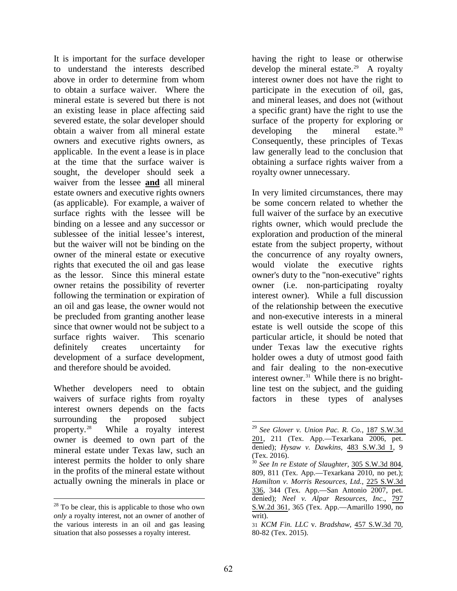It is important for the surface developer to understand the interests described above in order to determine from whom to obtain a surface waiver. Where the mineral estate is severed but there is not an existing lease in place affecting said severed estate, the solar developer should obtain a waiver from all mineral estate owners and executive rights owners, as applicable. In the event a lease is in place at the time that the surface waiver is sought, the developer should seek a waiver from the lessee **and** all mineral estate owners and executive rights owners (as applicable). For example, a waiver of surface rights with the lessee will be binding on a lessee and any successor or sublessee of the initial lessee's interest, but the waiver will not be binding on the owner of the mineral estate or executive rights that executed the oil and gas lease as the lessor. Since this mineral estate owner retains the possibility of reverter following the termination or expiration of an oil and gas lease, the owner would not be precluded from granting another lease since that owner would not be subject to a surface rights waiver. This scenario definitely creates uncertainty for development of a surface development, and therefore should be avoided.

<span id="page-7-0"></span>Whether developers need to obtain waivers of surface rights from royalty interest owners depends on the facts surrounding the proposed subject property.[28](#page-6-5) While a royalty interest owner is deemed to own part of the mineral estate under Texas law, such an interest permits the holder to only share in the profits of the mineral estate without actually owning the minerals in place or

having the right to lease or otherwise develop the mineral estate.<sup>[29](#page-7-0)</sup> A royalty interest owner does not have the right to participate in the execution of oil, gas, and mineral leases, and does not (without a specific grant) have the right to use the surface of the property for exploring or developing the mineral estate. $30$ Consequently, these principles of Texas law generally lead to the conclusion that obtaining a surface rights waiver from a royalty owner unnecessary.

In very limited circumstances, there may be some concern related to whether the full waiver of the surface by an executive rights owner, which would preclude the exploration and production of the mineral estate from the subject property, without the concurrence of any royalty owners, would violate the executive rights owner's duty to the "non-executive" rights owner (i.e. non-participating royalty interest owner). While a full discussion of the relationship between the executive and non-executive interests in a mineral estate is well outside the scope of this particular article, it should be noted that under Texas law the executive rights holder owes a duty of utmost good faith and fair dealing to the non-executive interest owner. $31$  While there is no brightline test on the subject, and the guiding factors in these types of analyses

<span id="page-7-3"></span><span id="page-7-2"></span><span id="page-7-1"></span> $\overline{a}$  $28$  To be clear, this is applicable to those who own *only* a royalty interest, not an owner of another of the various interests in an oil and gas leasing situation that also possesses a royalty interest.

<sup>29</sup> *See Glover v. Union Pac. R. Co.*, [187 S.W.3d](https://links.casemakerlegal.com/states/TX/books/Case_Law/results?search[Cite]=187%20S.W.3d%20201&ispincite=yes&ci=13&fn=Volume+41%2c+Number+1+Fall+2016+OGERL+Section+Report.pdf)  [201,](https://links.casemakerlegal.com/states/TX/books/Case_Law/results?search[Cite]=187%20S.W.3d%20201&ispincite=yes&ci=13&fn=Volume+41%2c+Number+1+Fall+2016+OGERL+Section+Report.pdf) 211 (Tex. App.—Texarkana 2006, pet. denied); *Hysaw v. Dawkins*, [483 S.W.3d 1,](https://links.casemakerlegal.com/states/TX/books/Case_Law/results?search[Cite]=483%20S.W.3d%201&ispincite=yes&ci=13&fn=Volume+41%2c+Number+1+Fall+2016+OGERL+Section+Report.pdf) 9

<sup>(</sup>Tex. 2016). <sup>30</sup> *See In re Estate of Slaughter*, [305 S.W.3d 804,](https://links.casemakerlegal.com/states/TX/books/Case_Law/results?search[Cite]=305%20S.W.3d%20804&ispincite=yes&ci=13&fn=Volume+41%2c+Number+1+Fall+2016+OGERL+Section+Report.pdf) 809, 811 (Tex. App.—Texarkana 2010, no pet.); *Hamilton v. Morris Resources, Ltd.*, [225 S.W.3d](https://links.casemakerlegal.com/states/TX/books/Case_Law/results?search[Cite]=225%20S.W.3d%20336&ispincite=yes&ci=13&fn=Volume+41%2c+Number+1+Fall+2016+OGERL+Section+Report.pdf)  [336,](https://links.casemakerlegal.com/states/TX/books/Case_Law/results?search[Cite]=225%20S.W.3d%20336&ispincite=yes&ci=13&fn=Volume+41%2c+Number+1+Fall+2016+OGERL+Section+Report.pdf) 344 (Tex. App.—San Antonio 2007, pet. denied); *Neel v. Alpar Resources, Inc*., [797](https://links.casemakerlegal.com/states/TX/books/Case_Law/results?search[Cite]=797%20S.W.2d%20361&ispincite=yes&ci=13&fn=Volume+41%2c+Number+1+Fall+2016+OGERL+Section+Report.pdf)  [S.W.2d 361](https://links.casemakerlegal.com/states/TX/books/Case_Law/results?search[Cite]=797%20S.W.2d%20361&ispincite=yes&ci=13&fn=Volume+41%2c+Number+1+Fall+2016+OGERL+Section+Report.pdf), 365 (Tex. App.—Amarillo 1990, no writ).

<sup>31</sup> *KCM Fin. LLC* v. *Bradshaw*, [457 S.W.3d 70,](https://links.casemakerlegal.com/states/TX/books/Case_Law/results?search[Cite]=457%20S.W.3d%2070&ispincite=yes&ci=13&fn=Volume+41%2c+Number+1+Fall+2016+OGERL+Section+Report.pdf) 80-82 (Tex. 2015).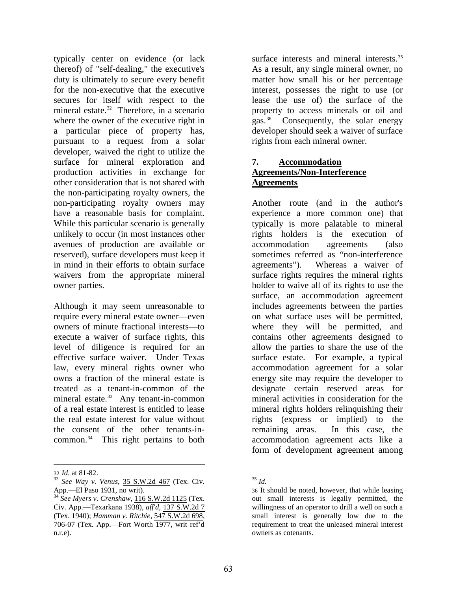typically center on evidence (or lack thereof) of "self-dealing," the executive's duty is ultimately to secure every benefit for the non-executive that the executive secures for itself with respect to the mineral estate.<sup>32</sup> Therefore, in a scenario where the owner of the executive right in a particular piece of property has, pursuant to a request from a solar developer, waived the right to utilize the surface for mineral exploration and production activities in exchange for other consideration that is not shared with the non-participating royalty owners, the non-participating royalty owners may have a reasonable basis for complaint. While this particular scenario is generally unlikely to occur (in most instances other avenues of production are available or reserved), surface developers must keep it in mind in their efforts to obtain surface waivers from the appropriate mineral owner parties.

Although it may seem unreasonable to require every mineral estate owner—even owners of minute fractional interests—to execute a waiver of surface rights, this level of diligence is required for an effective surface waiver. Under Texas law, every mineral rights owner who owns a fraction of the mineral estate is treated as a tenant-in-common of the mineral estate.<sup>33</sup> Any tenant-in-common of a real estate interest is entitled to lease the real estate interest for value without the consent of the other tenants-incommon.<sup>34</sup> This right pertains to both

 $\overline{a}$ 

surface interests and mineral interests.<sup>[35](#page-8-0)</sup> As a result, any single mineral owner, no matter how small his or her percentage interest, possesses the right to use (or lease the use of) the surface of the property to access minerals or oil and gas. [36](#page-8-2) Consequently, the solar energy developer should seek a waiver of surface rights from each mineral owner.

#### **7. Accommodation Agreements/Non-Interference Agreements**

Another route (and in the author's experience a more common one) that typically is more palatable to mineral rights holders is the execution of accommodation agreements (also sometimes referred as "non-interference agreements"). Whereas a waiver of surface rights requires the mineral rights holder to waive all of its rights to use the surface, an accommodation agreement includes agreements between the parties on what surface uses will be permitted, where they will be permitted, and contains other agreements designed to allow the parties to share the use of the surface estate. For example, a typical accommodation agreement for a solar energy site may require the developer to designate certain reserved areas for mineral activities in consideration for the mineral rights holders relinquishing their rights (express or implied) to the remaining areas. In this case, the accommodation agreement acts like a form of development agreement among

<span id="page-8-0"></span>

<sup>32</sup> *Id*. at 81-82. <sup>33</sup> *See Way v. Venus*, [35 S.W.2d 467](https://links.casemakerlegal.com/states/TX/books/Case_Law/results?search[Cite]=35%20S.W.2d%20467&ispincite=yes&ci=13&fn=Volume+41%2c+Number+1+Fall+2016+OGERL+Section+Report.pdf) (Tex. Civ.

<span id="page-8-3"></span><span id="page-8-2"></span><span id="page-8-1"></span> $34\text{ }^{\text{H}}$  See Myers v. Crenshaw, [116 S.W.2d 1125](https://links.casemakerlegal.com/states/TX/books/Case_Law/results?search[Cite]=116%20S.W.2d%201125&ispincite=yes&ci=13&fn=Volume+41%2c+Number+1+Fall+2016+OGERL+Section+Report.pdf) (Tex. Civ. App.—Texarkana 1938), *aff'd*, [137 S.W.2d 7](https://links.casemakerlegal.com/states/TX/books/Case_Law/results?search[Cite]=137%20S.W.2d%207&ispincite=yes&ci=13&fn=Volume+41%2c+Number+1+Fall+2016+OGERL+Section+Report.pdf) (Tex. 1940); *Hamman v. Ritchie*, [547 S.W.2d 698,](https://links.casemakerlegal.com/states/TX/books/Case_Law/results?search[Cite]=547%20S.W.2d%20698&ispincite=yes&ci=13&fn=Volume+41%2c+Number+1+Fall+2016+OGERL+Section+Report.pdf) 706-07 (Tex. App.—Fort Worth 1977, writ ref'd n.r.e).

 $\overline{a}$ <sup>35</sup> *Id.*

<sup>36</sup> It should be noted, however, that while leasing out small interests is legally permitted, the willingness of an operator to drill a well on such a small interest is generally low due to the requirement to treat the unleased mineral interest owners as cotenants.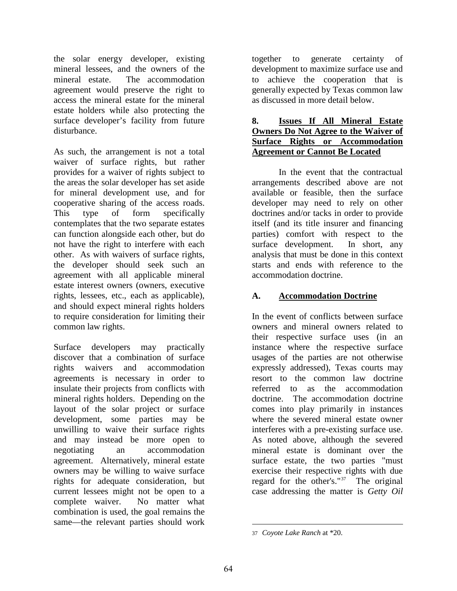the solar energy developer, existing mineral lessees, and the owners of the mineral estate. The accommodation agreement would preserve the right to access the mineral estate for the mineral estate holders while also protecting the surface developer's facility from future disturbance.

As such, the arrangement is not a total waiver of surface rights, but rather provides for a waiver of rights subject to the areas the solar developer has set aside for mineral development use, and for cooperative sharing of the access roads. This type of form specifically contemplates that the two separate estates can function alongside each other, but do not have the right to interfere with each other. As with waivers of surface rights, the developer should seek such an agreement with all applicable mineral estate interest owners (owners, executive rights, lessees, etc., each as applicable), and should expect mineral rights holders to require consideration for limiting their common law rights.

<span id="page-9-0"></span>Surface developers may practically discover that a combination of surface rights waivers and accommodation agreements is necessary in order to insulate their projects from conflicts with mineral rights holders. Depending on the layout of the solar project or surface development, some parties may be unwilling to waive their surface rights and may instead be more open to negotiating an accommodation agreement. Alternatively, mineral estate owners may be willing to waive surface rights for adequate consideration, but current lessees might not be open to a complete waiver. No matter what combination is used, the goal remains the same—the relevant parties should work together to generate certainty of development to maximize surface use and to achieve the cooperation that is generally expected by Texas common law as discussed in more detail below.

#### **8. Issues If All Mineral Estate Owners Do Not Agree to the Waiver of Surface Rights or Accommodation Agreement or Cannot Be Located**

In the event that the contractual arrangements described above are not available or feasible, then the surface developer may need to rely on other doctrines and/or tacks in order to provide itself (and its title insurer and financing parties) comfort with respect to the surface development. In short, any analysis that must be done in this context starts and ends with reference to the accommodation doctrine.

### **A. Accommodation Doctrine**

In the event of conflicts between surface owners and mineral owners related to their respective surface uses (in an instance where the respective surface usages of the parties are not otherwise expressly addressed), Texas courts may resort to the common law doctrine referred to as the accommodation doctrine. The accommodation doctrine comes into play primarily in instances where the severed mineral estate owner interferes with a pre-existing surface use. As noted above, although the severed mineral estate is dominant over the surface estate, the two parties "must exercise their respective rights with due regard for the other's."[37](#page-8-3) The original case addressing the matter is *Getty Oil* 

<sup>37</sup> *Coyote Lake Ranch* at \*20.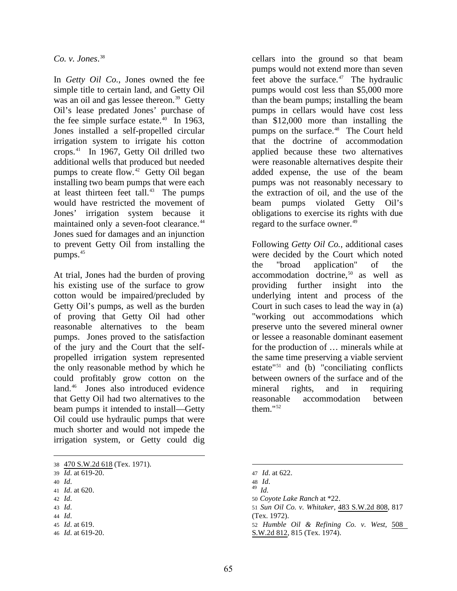*Co. v. Jones*. [38](#page-9-0) 

In *Getty Oil Co.*, Jones owned the fee simple title to certain land, and Getty Oil was an oil and gas lessee thereon.<sup>[39](#page-10-0)</sup> Getty Oil's lease predated Jones' purchase of the fee simple surface estate.<sup>40</sup> In 1963, Jones installed a self-propelled circular irrigation system to irrigate his cotton crops.[41](#page-10-2) In 1967, Getty Oil drilled two additional wells that produced but needed pumps to create flow.<sup>[42](#page-10-3)</sup> Getty Oil began installing two beam pumps that were each at least thirteen feet tall.<sup>[43](#page-10-4)</sup> The pumps would have restricted the movement of Jones' irrigation system because it maintained only a seven-foot clearance.<sup>[44](#page-10-5)</sup> Jones sued for damages and an injunction to prevent Getty Oil from installing the pumps.<sup>[45](#page-10-6)</sup>

At trial, Jones had the burden of proving his existing use of the surface to grow cotton would be impaired/precluded by Getty Oil's pumps, as well as the burden of proving that Getty Oil had other reasonable alternatives to the beam pumps. Jones proved to the satisfaction of the jury and the Court that the selfpropelled irrigation system represented the only reasonable method by which he could profitably grow cotton on the land.<sup>[46](#page-10-7)</sup> Jones also introduced evidence that Getty Oil had two alternatives to the beam pumps it intended to install—Getty Oil could use hydraulic pumps that were much shorter and would not impede the irrigation system, or Getty could dig

<span id="page-10-4"></span>43 *Id*.

cellars into the ground so that beam pumps would not extend more than seven feet above the surface. $47$  The hydraulic pumps would cost less than \$5,000 more than the beam pumps; installing the beam pumps in cellars would have cost less than \$12,000 more than installing the pumps on the surface.<sup>48</sup> The Court held that the doctrine of accommodation applied because these two alternatives were reasonable alternatives despite their added expense, the use of the beam pumps was not reasonably necessary to the extraction of oil, and the use of the beam pumps violated Getty Oil's obligations to exercise its rights with due regard to the surface owner.<sup>[49](#page-10-2)</sup>

Following *Getty Oil Co.*, additional cases were decided by the Court which noted the "broad application" of the  $accommodation$  doctrine,<sup>[50](#page-10-3)</sup> as well as providing further insight into the underlying intent and process of the Court in such cases to lead the way in (a) "working out accommodations which preserve unto the severed mineral owner or lessee a reasonable dominant easement for the production of … minerals while at the same time preserving a viable servient estate"[51](#page-10-4) and (b) "conciliating conflicts between owners of the surface and of the mineral rights, and in requiring reasonable accommodation between them."[52](#page-10-6) 

 $\overline{a}$ 38 [470 S.W.2d 618](https://links.casemakerlegal.com/states/TX/books/Case_Law/results?search[Cite]=470%20S.W.2d%20618&ispincite=yes&ci=13&fn=Volume+41%2c+Number+1+Fall+2016+OGERL+Section+Report.pdf) (Tex. 1971).

<span id="page-10-0"></span><sup>39</sup> *Id*. at 619-20.

<span id="page-10-1"></span><sup>40</sup> *Id*.

<span id="page-10-2"></span><sup>41</sup> *Id*. at 620.

<span id="page-10-3"></span><sup>42</sup> *Id*.

<span id="page-10-5"></span><sup>44</sup> *Id*. 45 *Id*. at 619.

<span id="page-10-7"></span><span id="page-10-6"></span><sup>46</sup> *Id*. at 619-20.

<sup>47</sup> *Id*. at 622.

<sup>48</sup>*Id*. <sup>49</sup>*Id.*

<sup>50</sup> *Coyote Lake Ranch* at \*22.

<sup>51</sup> *Sun Oil Co. v. Whitaker*, [483 S.W.2d 808](https://links.casemakerlegal.com/states/TX/books/Case_Law/results?search[Cite]=483%20S.W.2d%20808&ispincite=yes&ci=13&fn=Volume+41%2c+Number+1+Fall+2016+OGERL+Section+Report.pdf), 817 (Tex. 1972).

<sup>52</sup> *Humble Oil & Refining Co. v. West*, [508](https://links.casemakerlegal.com/states/TX/books/Case_Law/results?search[Cite]=508%20S.W.2d%20812&ispincite=yes&ci=13&fn=Volume+41%2c+Number+1+Fall+2016+OGERL+Section+Report.pdf)  [S.W.2d 812](https://links.casemakerlegal.com/states/TX/books/Case_Law/results?search[Cite]=508%20S.W.2d%20812&ispincite=yes&ci=13&fn=Volume+41%2c+Number+1+Fall+2016+OGERL+Section+Report.pdf), 815 (Tex. 1974).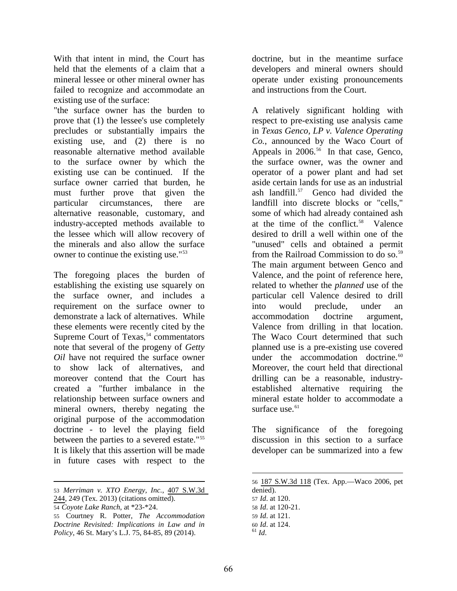With that intent in mind, the Court has held that the elements of a claim that a mineral lessee or other mineral owner has failed to recognize and accommodate an existing use of the surface:

"the surface owner has the burden to prove that (1) the lessee's use completely precludes or substantially impairs the existing use, and (2) there is no reasonable alternative method available to the surface owner by which the existing use can be continued. If the surface owner carried that burden, he must further prove that given the particular circumstances, there are alternative reasonable, customary, and industry-accepted methods available to the lessee which will allow recovery of the minerals and also allow the surface owner to continue the existing use."[53](#page-10-2)

The foregoing places the burden of establishing the existing use squarely on the surface owner, and includes a requirement on the surface owner to demonstrate a lack of alternatives. While these elements were recently cited by the Supreme Court of Texas, [54](#page-11-0) commentators note that several of the progeny of *Getty Oil* have not required the surface owner to show lack of alternatives, and moreover contend that the Court has created a "further imbalance in the relationship between surface owners and mineral owners, thereby negating the original purpose of the accommodation doctrine - to level the playing field between the parties to a severed estate."[55](#page-11-1) It is likely that this assertion will be made in future cases with respect to the

doctrine, but in the meantime surface developers and mineral owners should operate under existing pronouncements and instructions from the Court.

A relatively significant holding with respect to pre-existing use analysis came in *Texas Genco, LP v. Valence Operating Co.*, announced by the Waco Court of Appeals in  $2006^{56}$  $2006^{56}$  $2006^{56}$  In that case, Genco, the surface owner, was the owner and operator of a power plant and had set aside certain lands for use as an industrial ash landfill.[57](#page-11-3) Genco had divided the landfill into discrete blocks or "cells," some of which had already contained ash at the time of the conflict.[58](#page-11-0) Valence desired to drill a well within one of the "unused" cells and obtained a permit from the Railroad Commission to do so.<sup>[59](#page-11-1)</sup> The main argument between Genco and Valence, and the point of reference here, related to whether the *planned* use of the particular cell Valence desired to drill into would preclude, under an accommodation doctrine argument, Valence from drilling in that location. The Waco Court determined that such planned use is a pre-existing use covered under the accommodation doctrine.<sup>[60](#page-11-4)</sup> Moreover, the court held that directional drilling can be a reasonable, industryestablished alternative requiring the mineral estate holder to accommodate a surface use. $61$ 

The significance of the foregoing discussion in this section to a surface developer can be summarized into a few

<span id="page-11-2"></span> $\overline{a}$ 53 *Merriman v. XTO Energy, Inc.*, [407 S.W.3d](https://links.casemakerlegal.com/states/TX/books/Case_Law/results?search[Cite]=407%20S.W.3d%20244&ispincite=yes&ci=13&fn=Volume+41%2c+Number+1+Fall+2016+OGERL+Section+Report.pdf)  [244](https://links.casemakerlegal.com/states/TX/books/Case_Law/results?search[Cite]=407%20S.W.3d%20244&ispincite=yes&ci=13&fn=Volume+41%2c+Number+1+Fall+2016+OGERL+Section+Report.pdf), 249 (Tex. 2013) (citations omitted).

<span id="page-11-3"></span><span id="page-11-0"></span><sup>54</sup> *Coyote Lake Ranch*, at \*23-\*24.

<span id="page-11-5"></span><span id="page-11-4"></span><span id="page-11-1"></span><sup>55</sup> Courtney R. Potter, *The Accommodation Doctrine Revisited: Implications in Law and in Policy*, 46 St. Mary's L.J. 75, 84-85, 89 (2014).

<sup>56</sup> [187 S.W.3d 118](https://links.casemakerlegal.com/states/TX/books/Case_Law/results?search[Cite]=187%20S.W.3d%20118&ispincite=yes&ci=13&fn=Volume+41%2c+Number+1+Fall+2016+OGERL+Section+Report.pdf) (Tex. App.—Waco 2006, pet denied).

<sup>57</sup> *Id*. at 120.

<sup>58</sup> *Id*. at 120-21.

<sup>59</sup> *Id*. at 121.

<sup>60</sup> *Id*. at 124. <sup>61</sup> *Id*.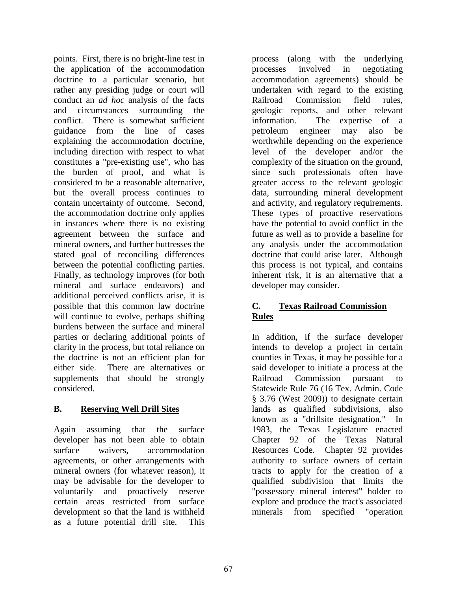points. First, there is no bright-line test in the application of the accommodation doctrine to a particular scenario, but rather any presiding judge or court will conduct an *ad hoc* analysis of the facts and circumstances surrounding the conflict. There is somewhat sufficient guidance from the line of cases explaining the accommodation doctrine, including direction with respect to what constitutes a "pre-existing use", who has the burden of proof, and what is considered to be a reasonable alternative, but the overall process continues to contain uncertainty of outcome. Second, the accommodation doctrine only applies in instances where there is no existing agreement between the surface and mineral owners, and further buttresses the stated goal of reconciling differences between the potential conflicting parties. Finally, as technology improves (for both mineral and surface endeavors) and additional perceived conflicts arise, it is possible that this common law doctrine will continue to evolve, perhaps shifting burdens between the surface and mineral parties or declaring additional points of clarity in the process, but total reliance on the doctrine is not an efficient plan for either side. There are alternatives or supplements that should be strongly considered.

# **B. Reserving Well Drill Sites**

Again assuming that the surface developer has not been able to obtain surface waivers, accommodation agreements, or other arrangements with mineral owners (for whatever reason), it may be advisable for the developer to voluntarily and proactively reserve certain areas restricted from surface development so that the land is withheld as a future potential drill site. This process (along with the underlying processes involved in negotiating accommodation agreements) should be undertaken with regard to the existing Railroad Commission field rules, geologic reports, and other relevant information. The expertise of a petroleum engineer may also be worthwhile depending on the experience level of the developer and/or the complexity of the situation on the ground, since such professionals often have greater access to the relevant geologic data, surrounding mineral development and activity, and regulatory requirements. These types of proactive reservations have the potential to avoid conflict in the future as well as to provide a baseline for any analysis under the accommodation doctrine that could arise later. Although this process is not typical, and contains inherent risk, it is an alternative that a developer may consider.

# **C. Texas Railroad Commission Rules**

In addition, if the surface developer intends to develop a project in certain counties in Texas, it may be possible for a said developer to initiate a process at the Railroad Commission pursuant to Statewide Rule 76 (16 Tex. Admin. Code § 3.76 (West 2009)) to designate certain lands as qualified subdivisions, also known as a "drillsite designation." In 1983, the Texas Legislature enacted Chapter 92 of the Texas Natural Resources Code. Chapter 92 provides authority to surface owners of certain tracts to apply for the creation of a qualified subdivision that limits the "possessory mineral interest" holder to explore and produce the tract's associated minerals from specified "operation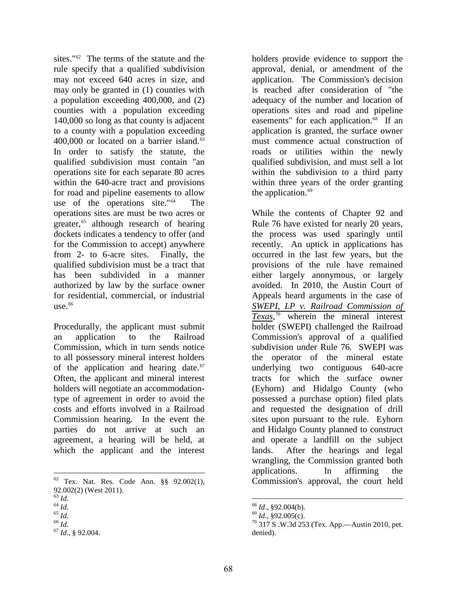sites."<sup>[62](#page-11-2)</sup> The terms of the statute and the rule specify that a qualified subdivision may not exceed 640 acres in size, and may only be granted in (1) counties with a population exceeding 400,000, and (2) counties with a population exceeding 140,000 so long as that county is adjacent to a county with a population exceeding  $400,000$  or located on a barrier island.<sup>[63](#page-13-0)</sup> In order to satisfy the statute, the qualified subdivision must contain "an operations site for each separate 80 acres within the 640-acre tract and provisions for road and pipeline easements to allow use of the operations site."[64](#page-13-1) The operations sites are must be two acres or greater, [65](#page-13-2) although research of hearing dockets indicates a tendency to offer (and for the Commission to accept) anywhere from 2- to 6-acre sites. Finally, the qualified subdivision must be a tract that has been subdivided in a manner authorized by law by the surface owner for residential, commercial, or industrial use.  $66$ 

Procedurally, the applicant must submit an application to the Railroad Commission, which in turn sends notice to all possessory mineral interest holders of the application and hearing date. $67$ Often, the applicant and mineral interest holders will negotiate an accommodationtype of agreement in order to avoid the costs and efforts involved in a Railroad Commission hearing. In the event the parties do not arrive at such an agreement, a hearing will be held, at which the applicant and the interest holders provide evidence to support the approval, denial, or amendment of the application. The Commission's decision is reached after consideration of "the adequacy of the number and location of operations sites and road and pipeline easements" for each application.<sup>68</sup> If an application is granted, the surface owner must commence actual construction of roads or utilities within the newly qualified subdivision, and must sell a lot within the subdivision to a third party within three years of the order granting the application.<sup>[69](#page-13-2)</sup>

While the contents of Chapter 92 and Rule 76 have existed for nearly 20 years, the process was used sparingly until recently. An uptick in applications has occurred in the last few years, but the provisions of the rule have remained either largely anonymous, or largely avoided. In 2010, the Austin Court of Appeals heard arguments in the case of *[SWEPI, LP v. Railroad Commission of](https://links.casemakerlegal.com/states/TX/books/Case_Law/results?&search[Cite]=314+S.W.3d+253&search[Date%20Decided_from]=2010%2f05%2f11&search[Date%20Decided_to]=2010%2f05%2f11&search[Case%20Name]=SWEPI%2c+LP+v.+Railroad+Commission+of+Texas&ci=13&fn=Volume+41%2c+Number+1+Fall+2016+OGERL+Section+Report.pdf)  [Texas](https://links.casemakerlegal.com/states/TX/books/Case_Law/results?&search[Cite]=314+S.W.3d+253&search[Date%20Decided_from]=2010%2f05%2f11&search[Date%20Decided_to]=2010%2f05%2f11&search[Case%20Name]=SWEPI%2c+LP+v.+Railroad+Commission+of+Texas&ci=13&fn=Volume+41%2c+Number+1+Fall+2016+OGERL+Section+Report.pdf)*, [70](#page-13-3) wherein the mineral interest holder (SWEPI) challenged the Railroad Commission's approval of a qualified subdivision under Rule 76. SWEPI was the operator of the mineral estate underlying two contiguous 640-acre tracts for which the surface owner (Eyhorn) and Hidalgo County (who possessed a purchase option) filed plats and requested the designation of drill sites upon pursuant to the rule. Eyhorn and Hidalgo County planned to construct and operate a landfill on the subject lands. After the hearings and legal wrangling, the Commission granted both applications. In affirming the Commission's approval, the court held

 $\overline{a}$  $62$  Tex. Nat. Res. Code Ann. §§ 92.002(1),

<span id="page-13-1"></span>

<span id="page-13-2"></span>

<span id="page-13-4"></span><span id="page-13-3"></span>

<span id="page-13-0"></span><sup>92.002(2) (</sup>West 2011).<br>
<sup>63</sup> *Id.*<br>
<sup>64</sup> *Id.*<br>
<sup>65</sup> *Id.*<br>
<sup>67</sup> *Id.*, § 92.004.

<sup>&</sup>lt;sup>68</sup> *Id.*, §92.004(b).<br><sup>69</sup> *Id.*, §92.005(c).<br><sup>70</sup> 317 S .W.3d 253 (Tex. App.—Austin 2010, pet. denied).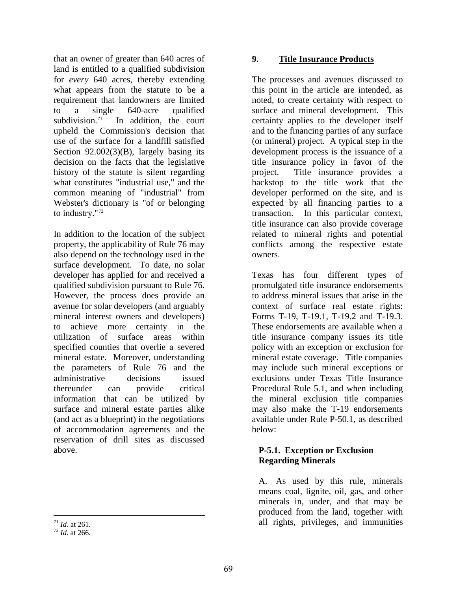that an owner of greater than 640 acres of land is entitled to a qualified subdivision for *every* 640 acres, thereby extending what appears from the statute to be a requirement that landowners are limited to a single 640-acre qualified subdivision.<sup>[71](#page-13-3)</sup> In addition, the court upheld the Commission's decision that use of the surface for a landfill satisfied Section 92.002(3)(B), largely basing its decision on the facts that the legislative history of the statute is silent regarding what constitutes "industrial use," and the common meaning of "industrial" from Webster's dictionary is "of or belonging to industry."[72](#page-14-0) 

In addition to the location of the subject property, the applicability of Rule 76 may also depend on the technology used in the surface development. To date, no solar developer has applied for and received a qualified subdivision pursuant to Rule 76. However, the process does provide an avenue for solar developers (and arguably mineral interest owners and developers) to achieve more certainty in the utilization of surface areas within specified counties that overlie a severed mineral estate. Moreover, understanding the parameters of Rule 76 and the administrative decisions issued thereunder can provide critical information that can be utilized by surface and mineral estate parties alike (and act as a blueprint) in the negotiations of accommodation agreements and the reservation of drill sites as discussed above.

 $^{71}$  *Id.* at 261.

### **9. Title Insurance Products**

The processes and avenues discussed to this point in the article are intended, as noted, to create certainty with respect to surface and mineral development. This certainty applies to the developer itself and to the financing parties of any surface (or mineral) project. A typical step in the development process is the issuance of a title insurance policy in favor of the project. Title insurance provides a backstop to the title work that the developer performed on the site, and is expected by all financing parties to a transaction. In this particular context, title insurance can also provide coverage related to mineral rights and potential conflicts among the respective estate owners.

Texas has four different types of promulgated title insurance endorsements to address mineral issues that arise in the context of surface real estate rights: Forms T-19, T-19.1, T-19.2 and T-19.3. These endorsements are available when a title insurance company issues its title policy with an exception or exclusion for mineral estate coverage. Title companies may include such mineral exceptions or exclusions under Texas Title Insurance Procedural Rule 5.1, and when including the mineral exclusion title companies may also make the T-19 endorsements available under Rule P-50.1, as described below:

### **P-5.1. Exception or Exclusion Regarding Minerals**

A. As used by this rule, minerals means coal, lignite, oil, gas, and other minerals in, under, and that may be produced from the land, together with all rights, privileges, and immunities

<span id="page-14-0"></span><sup>&</sup>lt;sup>72</sup> *Id.* at 266.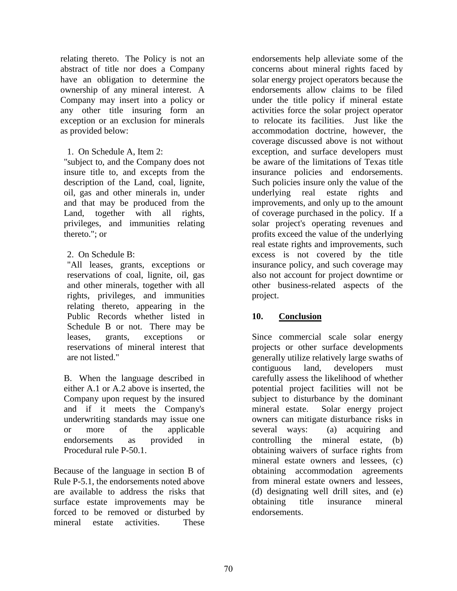relating thereto. The Policy is not an abstract of title nor does a Company have an obligation to determine the ownership of any mineral interest. A Company may insert into a policy or any other title insuring form an exception or an exclusion for minerals as provided below:

1. On Schedule A, Item 2:

"subject to, and the Company does not insure title to, and excepts from the description of the Land, coal, lignite, oil, gas and other minerals in, under and that may be produced from the Land, together with all rights, privileges, and immunities relating thereto."; or

2. On Schedule B:

"All leases, grants, exceptions or reservations of coal, lignite, oil, gas and other minerals, together with all rights, privileges, and immunities relating thereto, appearing in the Public Records whether listed in Schedule B or not. There may be leases, grants, exceptions or reservations of mineral interest that are not listed."

B. When the language described in either A.1 or A.2 above is inserted, the Company upon request by the insured and if it meets the Company's underwriting standards may issue one or more of the applicable endorsements as provided in Procedural rule [P-50.1.](http://www.tdi.state.tx.us/title/titlem4l.html#P-50.1)

Because of the language in section B of Rule P-5.1, the endorsements noted above are available to address the risks that surface estate improvements may be forced to be removed or disturbed by mineral estate activities. These

endorsements help alleviate some of the concerns about mineral rights faced by solar energy project operators because the endorsements allow claims to be filed under the title policy if mineral estate activities force the solar project operator to relocate its facilities. Just like the accommodation doctrine, however, the coverage discussed above is not without exception, and surface developers must be aware of the limitations of Texas title insurance policies and endorsements. Such policies insure only the value of the underlying real estate rights and improvements, and only up to the amount of coverage purchased in the policy. If a solar project's operating revenues and profits exceed the value of the underlying real estate rights and improvements, such excess is not covered by the title insurance policy, and such coverage may also not account for project downtime or other business-related aspects of the project.

### **10. Conclusion**

Since commercial scale solar energy projects or other surface developments generally utilize relatively large swaths of contiguous land, developers must carefully assess the likelihood of whether potential project facilities will not be subject to disturbance by the dominant mineral estate. Solar energy project owners can mitigate disturbance risks in several ways: (a) acquiring and controlling the mineral estate, (b) obtaining waivers of surface rights from mineral estate owners and lessees, (c) obtaining accommodation agreements from mineral estate owners and lessees, (d) designating well drill sites, and (e) obtaining title insurance mineral endorsements.